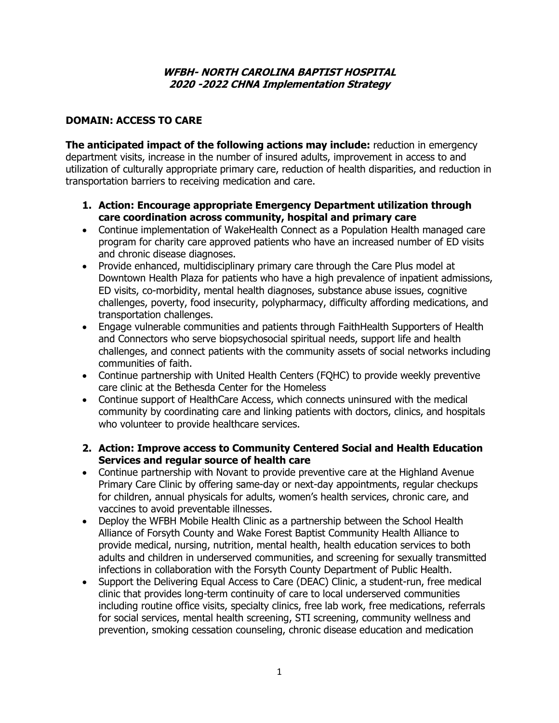### **WFBH- NORTH CAROLINA BAPTIST HOSPITAL 2020 -2022 CHNA Implementation Strategy**

# **DOMAIN: ACCESS TO CARE**

**The anticipated impact of the following actions may include:** reduction in emergency department visits, increase in the number of insured adults, improvement in access to and utilization of culturally appropriate primary care, reduction of health disparities, and reduction in transportation barriers to receiving medication and care.

- **1. Action: Encourage appropriate Emergency Department utilization through care coordination across community, hospital and primary care**
- Continue implementation of WakeHealth Connect as a Population Health managed care program for charity care approved patients who have an increased number of ED visits and chronic disease diagnoses.
- Provide enhanced, multidisciplinary primary care through the Care Plus model at Downtown Health Plaza for patients who have a high prevalence of inpatient admissions, ED visits, co-morbidity, mental health diagnoses, substance abuse issues, cognitive challenges, poverty, food insecurity, polypharmacy, difficulty affording medications, and transportation challenges.
- Engage vulnerable communities and patients through FaithHealth Supporters of Health and Connectors who serve biopsychosocial spiritual needs, support life and health challenges, and connect patients with the community assets of social networks including communities of faith.
- Continue partnership with United Health Centers (FQHC) to provide weekly preventive care clinic at the Bethesda Center for the Homeless
- Continue support of HealthCare Access, which connects uninsured with the medical community by coordinating care and linking patients with doctors, clinics, and hospitals who volunteer to provide healthcare services.
- **2. Action: Improve access to Community Centered Social and Health Education Services and regular source of health care**
- Continue partnership with Novant to provide preventive care at the Highland Avenue Primary Care Clinic by offering same-day or next-day appointments, regular checkups for children, annual physicals for adults, women's health services, chronic care, and vaccines to avoid preventable illnesses.
- Deploy the WFBH Mobile Health Clinic as a partnership between the School Health Alliance of Forsyth County and Wake Forest Baptist Community Health Alliance to provide medical, nursing, nutrition, mental health, health education services to both adults and children in underserved communities, and screening for sexually transmitted infections in collaboration with the Forsyth County Department of Public Health.
- Support the Delivering Equal Access to Care (DEAC) Clinic, a student-run, free medical clinic that provides long-term continuity of care to local underserved communities including routine office visits, specialty clinics, free lab work, free medications, referrals for social services, mental health screening, STI screening, community wellness and prevention, smoking cessation counseling, chronic disease education and medication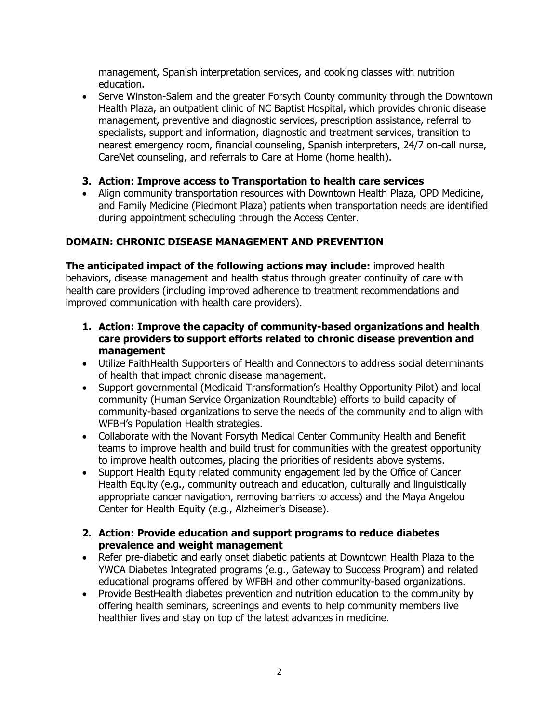management, Spanish interpretation services, and cooking classes with nutrition education.

• Serve Winston-Salem and the greater Forsyth County community through the Downtown Health Plaza, an outpatient clinic of NC Baptist Hospital, which provides chronic disease management, preventive and diagnostic services, prescription assistance, referral to specialists, support and information, diagnostic and treatment services, transition to nearest emergency room, financial counseling, Spanish interpreters, 24/7 on-call nurse, CareNet counseling, and referrals to Care at Home (home health).

### **3. Action: Improve access to Transportation to health care services**

 Align community transportation resources with Downtown Health Plaza, OPD Medicine, and Family Medicine (Piedmont Plaza) patients when transportation needs are identified during appointment scheduling through the Access Center.

# **DOMAIN: CHRONIC DISEASE MANAGEMENT AND PREVENTION**

**The anticipated impact of the following actions may include:** improved health behaviors, disease management and health status through greater continuity of care with health care providers (including improved adherence to treatment recommendations and improved communication with health care providers).

- **1. Action: Improve the capacity of community-based organizations and health care providers to support efforts related to chronic disease prevention and management**
- Utilize FaithHealth Supporters of Health and Connectors to address social determinants of health that impact chronic disease management.
- Support governmental (Medicaid Transformation's Healthy Opportunity Pilot) and local community (Human Service Organization Roundtable) efforts to build capacity of community-based organizations to serve the needs of the community and to align with WFBH's Population Health strategies.
- Collaborate with the Novant Forsyth Medical Center Community Health and Benefit teams to improve health and build trust for communities with the greatest opportunity to improve health outcomes, placing the priorities of residents above systems.
- Support Health Equity related community engagement led by the Office of Cancer Health Equity (e.g., community outreach and education, culturally and linguistically appropriate cancer navigation, removing barriers to access) and the Maya Angelou Center for Health Equity (e.g., Alzheimer's Disease).

### **2. Action: Provide education and support programs to reduce diabetes prevalence and weight management**

- Refer pre-diabetic and early onset diabetic patients at Downtown Health Plaza to the YWCA Diabetes Integrated programs (e.g., Gateway to Success Program) and related educational programs offered by WFBH and other community-based organizations.
- Provide BestHealth diabetes prevention and nutrition education to the community by offering health seminars, screenings and events to help community members live healthier lives and stay on top of the latest advances in medicine.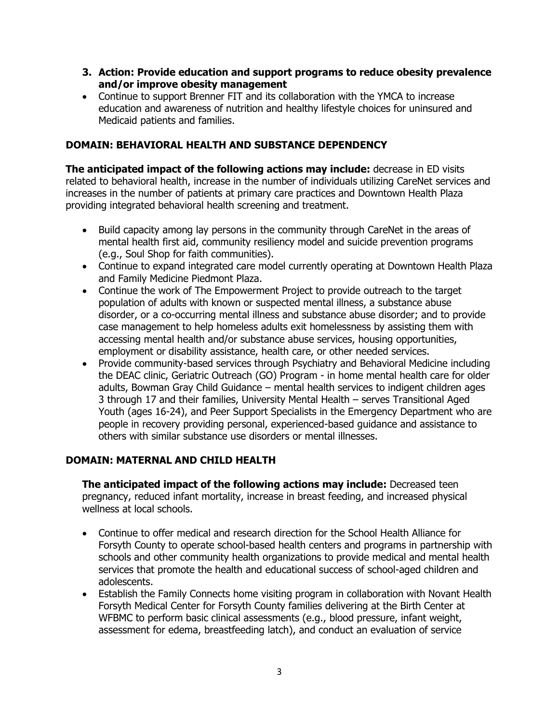- **3. Action: Provide education and support programs to reduce obesity prevalence and/or improve obesity management**
- Continue to support Brenner FIT and its collaboration with the YMCA to increase education and awareness of nutrition and healthy lifestyle choices for uninsured and Medicaid patients and families.

# **DOMAIN: BEHAVIORAL HEALTH AND SUBSTANCE DEPENDENCY**

**The anticipated impact of the following actions may include:** decrease in ED visits related to behavioral health, increase in the number of individuals utilizing CareNet services and increases in the number of patients at primary care practices and Downtown Health Plaza providing integrated behavioral health screening and treatment.

- Build capacity among lay persons in the community through CareNet in the areas of mental health first aid, community resiliency model and suicide prevention programs (e.g., Soul Shop for faith communities).
- Continue to expand integrated care model currently operating at Downtown Health Plaza and Family Medicine Piedmont Plaza.
- Continue the work of The Empowerment Project to provide outreach to the target population of adults with known or suspected mental illness, a substance abuse disorder, or a co-occurring mental illness and substance abuse disorder; and to provide case management to help homeless adults exit homelessness by assisting them with accessing mental health and/or substance abuse services, housing opportunities, employment or disability assistance, health care, or other needed services.
- Provide community-based services through Psychiatry and Behavioral Medicine including the DEAC clinic, Geriatric Outreach (GO) Program - in home mental health care for older adults, Bowman Gray Child Guidance – mental health services to indigent children ages 3 through 17 and their families, University Mental Health – serves Transitional Aged Youth (ages 16-24), and Peer Support Specialists in the Emergency Department who are people in recovery providing personal, experienced-based guidance and assistance to others with similar substance use disorders or mental illnesses.

# **DOMAIN: MATERNAL AND CHILD HEALTH**

**The anticipated impact of the following actions may include:** Decreased teen pregnancy, reduced infant mortality, increase in breast feeding, and increased physical wellness at local schools.

- Continue to offer medical and research direction for the School Health Alliance for Forsyth County to operate school-based health centers and programs in partnership with schools and other community health organizations to provide medical and mental health services that promote the health and educational success of school-aged children and adolescents.
- Establish the Family Connects home visiting program in collaboration with Novant Health Forsyth Medical Center for Forsyth County families delivering at the Birth Center at WFBMC to perform basic clinical assessments (e.g., blood pressure, infant weight, assessment for edema, breastfeeding latch), and conduct an evaluation of service